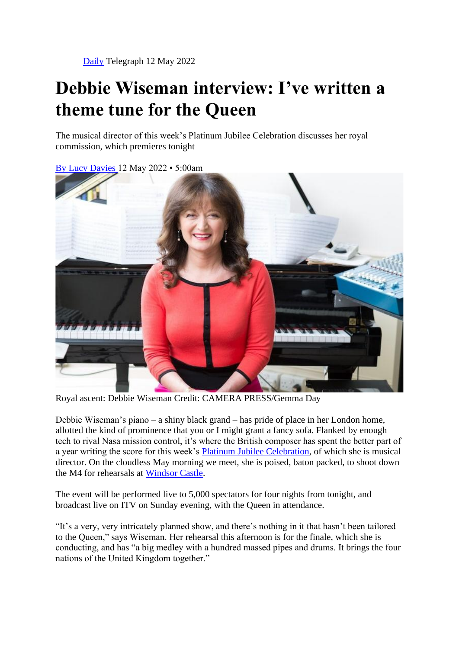## **Debbie Wiseman interview: I've written a theme tune for the Queen**

The musical director of this week's Platinum Jubilee Celebration discusses her royal commission, which premieres tonight

By Lucy Davies 12 May 2022 • 5:00am



Royal ascent: Debbie Wiseman Credit: CAMERA PRESS/Gemma Day

Debbie Wiseman's piano – a shiny black grand – has pride of place in her London home, allotted the kind of prominence that you or I might grant a fancy sofa. Flanked by enough tech to rival Nasa mission control, it's where the British composer has spent the better part of a year writing the score for this week's Platinum Jubilee Celebration, of which she is musical director. On the cloudless May morning we meet, she is poised, baton packed, to shoot down the M4 for rehearsals at Windsor Castle.

The event will be performed live to 5,000 spectators for four nights from tonight, and broadcast live on ITV on Sunday evening, with the Queen in attendance.

"It's a very, very intricately planned show, and there's nothing in it that hasn't been tailored to the Queen," says Wiseman. Her rehearsal this afternoon is for the finale, which she is conducting, and has "a big medley with a hundred massed pipes and drums. It brings the four nations of the United Kingdom together."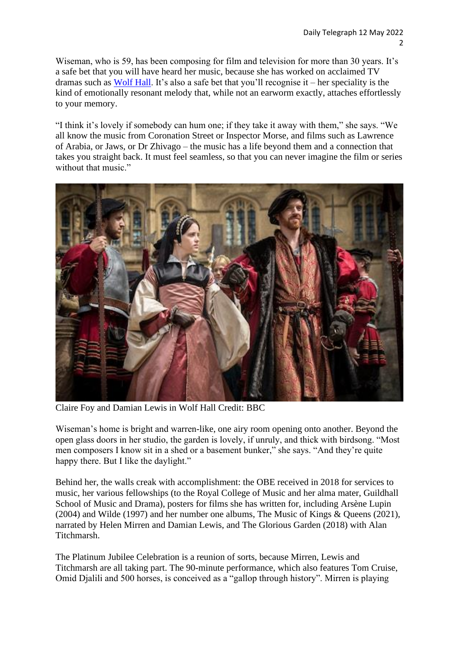Wiseman, who is 59, has been composing for film and television for more than 30 years. It's a safe bet that you will have heard her music, because she has worked on acclaimed TV dramas such as Wolf Hall. It's also a safe bet that you'll recognise it – her speciality is the kind of emotionally resonant melody that, while not an earworm exactly, attaches effortlessly to your memory.

"I think it's lovely if somebody can hum one; if they take it away with them," she says. "We all know the music from Coronation Street or Inspector Morse, and films such as Lawrence of Arabia, or Jaws, or Dr Zhivago – the music has a life beyond them and a connection that takes you straight back. It must feel seamless, so that you can never imagine the film or series without that music."



Claire Foy and Damian Lewis in Wolf Hall Credit: BBC

Wiseman's home is bright and warren-like, one airy room opening onto another. Beyond the open glass doors in her studio, the garden is lovely, if unruly, and thick with birdsong. "Most men composers I know sit in a shed or a basement bunker," she says. "And they're quite happy there. But I like the daylight."

Behind her, the walls creak with accomplishment: the OBE received in 2018 for services to music, her various fellowships (to the Royal College of Music and her alma mater, Guildhall School of Music and Drama), posters for films she has written for, including Arsène Lupin (2004) and Wilde (1997) and her number one albums, The Music of Kings & Queens (2021), narrated by Helen Mirren and Damian Lewis, and The Glorious Garden (2018) with Alan Titchmarsh.

The Platinum Jubilee Celebration is a reunion of sorts, because Mirren, Lewis and Titchmarsh are all taking part. The 90-minute performance, which also features Tom Cruise, Omid Djalili and 500 horses, is conceived as a "gallop through history". Mirren is playing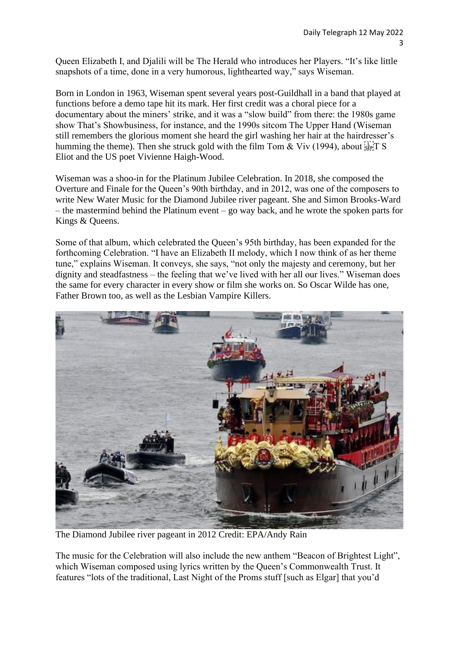Queen Elizabeth I, and Djalili will be The Herald who introduces her Players. "It's like little snapshots of a time, done in a very humorous, lighthearted way," says Wiseman.

Born in London in 1963, Wiseman spent several years post-Guildhall in a band that played at functions before a demo tape hit its mark. Her first credit was a choral piece for a documentary about the miners' strike, and it was a "slow build" from there: the 1980s game show That's Showbusiness, for instance, and the 1990s sitcom The Upper Hand (Wiseman still remembers the glorious moment she heard the girl washing her hair at the hairdresser's humming the theme). Then she struck gold with the film Tom & Viv (1994), about  $\lim_{s \to \infty} S$ Eliot and the US poet Vivienne Haigh-Wood.

Wiseman was a shoo-in for the Platinum Jubilee Celebration. In 2018, she composed the Overture and Finale for the Queen's 90th birthday, and in 2012, was one of the composers to write New Water Music for the Diamond Jubilee river pageant. She and Simon Brooks-Ward – the mastermind behind the Platinum event – go way back, and he wrote the spoken parts for Kings & Queens.

Some of that album, which celebrated the Queen's 95th birthday, has been expanded for the forthcoming Celebration. "I have an Elizabeth II melody, which I now think of as her theme tune," explains Wiseman. It conveys, she says, "not only the majesty and ceremony, but her dignity and steadfastness – the feeling that we've lived with her all our lives." Wiseman does the same for every character in every show or film she works on. So Oscar Wilde has one, Father Brown too, as well as the Lesbian Vampire Killers.



The Diamond Jubilee river pageant in 2012 Credit: EPA/Andy Rain

The music for the Celebration will also include the new anthem "Beacon of Brightest Light", which Wiseman composed using lyrics written by the Queen's Commonwealth Trust. It features "lots of the traditional, Last Night of the Proms stuff [such as Elgar] that you'd